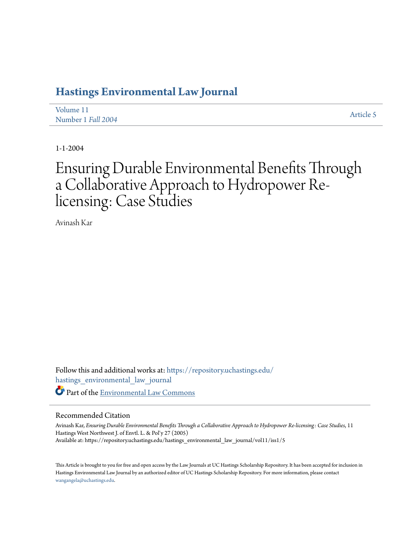## **[Hastings Environmental Law Journal](https://repository.uchastings.edu/hastings_environmental_law_journal?utm_source=repository.uchastings.edu%2Fhastings_environmental_law_journal%2Fvol11%2Fiss1%2F5&utm_medium=PDF&utm_campaign=PDFCoverPages)**

| Volume 11          | Article 5 |
|--------------------|-----------|
| Number 1 Fall 2004 |           |

1-1-2004

# Ensuring Durable Environmental Benefits Through a Collaborative Approach to Hydropower Relicensing: Case Studies

Avinash Kar

Follow this and additional works at: [https://repository.uchastings.edu/](https://repository.uchastings.edu/hastings_environmental_law_journal?utm_source=repository.uchastings.edu%2Fhastings_environmental_law_journal%2Fvol11%2Fiss1%2F5&utm_medium=PDF&utm_campaign=PDFCoverPages) [hastings\\_environmental\\_law\\_journal](https://repository.uchastings.edu/hastings_environmental_law_journal?utm_source=repository.uchastings.edu%2Fhastings_environmental_law_journal%2Fvol11%2Fiss1%2F5&utm_medium=PDF&utm_campaign=PDFCoverPages) Part of the [Environmental Law Commons](http://network.bepress.com/hgg/discipline/599?utm_source=repository.uchastings.edu%2Fhastings_environmental_law_journal%2Fvol11%2Fiss1%2F5&utm_medium=PDF&utm_campaign=PDFCoverPages)

#### Recommended Citation

Avinash Kar, *Ensuring Durable Environmental Benefits Through a Collaborative Approach to Hydropower Re-licensing: Case Studies*, 11 Hastings West Northwest J. of Envtl. L. & Pol'y 27 (2005) Available at: https://repository.uchastings.edu/hastings\_environmental\_law\_journal/vol11/iss1/5

This Article is brought to you for free and open access by the Law Journals at UC Hastings Scholarship Repository. It has been accepted for inclusion in Hastings Environmental Law Journal by an authorized editor of UC Hastings Scholarship Repository. For more information, please contact [wangangela@uchastings.edu](mailto:wangangela@uchastings.edu).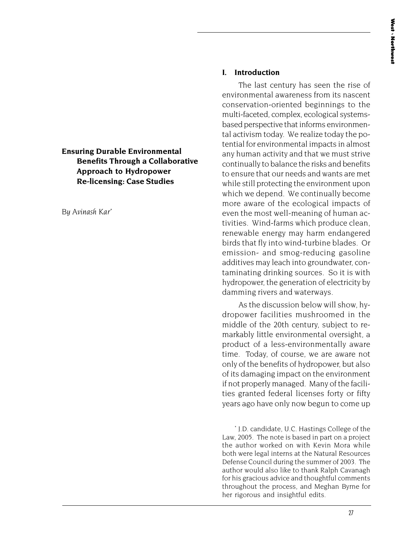## **Ensuring Durable Environmental Benefits Through a Collaborative Approach to Hydropower Re-licensing: Case Studies**

*By Avinash Kar*\*

### **I. Introduction**

The last century has seen the rise of environmental awareness from its nascent conservation-oriented beginnings to the multi-faceted, complex, ecological systemsbased perspective that informs environmental activism today. We realize today the potential for environmental impacts in almost any human activity and that we must strive continually to balance the risks and benefits to ensure that our needs and wants are met while still protecting the environment upon which we depend. We continually become more aware of the ecological impacts of even the most well-meaning of human activities. Wind-farms which produce clean, renewable energy may harm endangered birds that fly into wind-turbine blades. Or emission- and smog-reducing gasoline additives may leach into groundwater, contaminating drinking sources. So it is with hydropower, the generation of electricity by damming rivers and waterways.

As the discussion below will show, hydropower facilities mushroomed in the middle of the 20th century, subject to remarkably little environmental oversight, a product of a less-environmentally aware time. Today, of course, we are aware not only of the benefits of hydropower, but also of its damaging impact on the environment if not properly managed. Many of the facilities granted federal licenses forty or fifty years ago have only now begun to come up

\* J.D. candidate, U.C. Hastings College of the Law, 2005. The note is based in part on a project the author worked on with Kevin Mora while both were legal interns at the Natural Resources Defense Council during the summer of 2003. The author would also like to thank Ralph Cavanagh for his gracious advice and thoughtful comments throughout the process, and Meghan Byrne for her rigorous and insightful edits.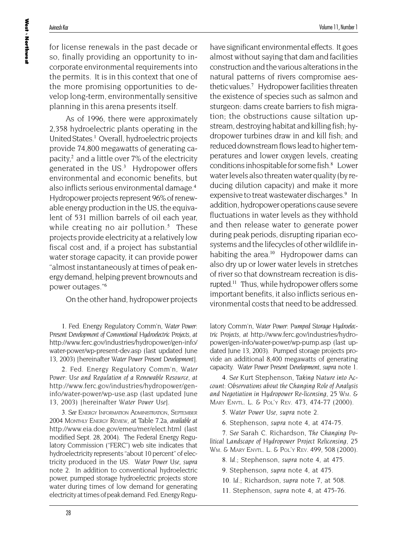for license renewals in the past decade or so, finally providing an opportunity to incorporate environmental requirements into the permits. It is in this context that one of the more promising opportunities to develop long-term, environmentally sensitive planning in this arena presents itself.

As of 1996, there were approximately 2,358 hydroelectric plants operating in the United States.<sup>1</sup> Overall, hydroelectric projects provide 74,800 megawatts of generating capacity, $2$  and a little over 7% of the electricity generated in the US.<sup>3</sup> Hydropower offers environmental and economic benefits, but also inflicts serious environmental damage.<sup>4</sup> Hydropower projects represent 96% of renewable energy production in the US, the equivalent of 531 million barrels of oil each year, while creating no air pollution. $5$  These projects provide electricity at a relatively low fiscal cost and, if a project has substantial water storage capacity, it can provide power "almost instantaneously at times of peak energy demand, helping prevent brownouts and power outages."<sup>6</sup>

On the other hand, hydropower projects

1. Fed. Energy Regulatory Comm'n, *Water Power: Present Development of Conventional Hydroelectric Projects*, *at* http://www.ferc.gov/industries/hydropower/gen-info/ water-power/wp-present-dev.asp (last updated June 13, 2003) [hereinafter *Water Power Present Development*].

2. Fed. Energy Regulatory Comm'n, *Water Power: Use and Regulation of a Renewable Resource*, *at* http://www.ferc.gov/industries/hydropower/geninfo/water-power/wp-use.asp (last updated June 13, 2003) [hereinafter *Water Power Use*].

3*. See* ENERGY INFORMATION ADMINISTRATION, SEPTEMBER 2004 MONTHLY ENERGY REVIEW, at Table 7.2a, *available at* http://www.eia.doe.gov/emeu/mer/elect.html (last modified Sept. 28, 2004). The Federal Energy Regulatory Commission ("FERC") web site indicates that hydroelectricity represents "about 10 percent" of electricity produced in the US. *Water Power Use*, *supra* note 2. In addition to conventional hydroelectric power, pumped storage hydroelectric projects store water during times of low demand for generating electricity at times of peak demand. Fed. Energy Reguhave significant environmental effects. It goes almost without saying that dam and facilities construction and the various alterations in the natural patterns of rivers compromise aesthetic values.<sup>7</sup> Hydropower facilities threaten the existence of species such as salmon and sturgeon: dams create barriers to fish migration; the obstructions cause siltation upstream, destroying habitat and killing fish; hydropower turbines draw in and kill fish; and reduced downstream flows lead to higher temperatures and lower oxygen levels, creating conditions inhospitable for some fish.<sup>8</sup> Lower water levels also threaten water quality (by reducing dilution capacity) and make it more expensive to treat wastewater discharges.<sup>9</sup> In addition, hydropower operations cause severe fluctuations in water levels as they withhold and then release water to generate power during peak periods, disrupting riparian ecosystems and the lifecycles of other wildlife inhabiting the area. $10$  Hydropower dams can also dry up or lower water levels in stretches of river so that downstream recreation is disrupted.<sup>11</sup> Thus, while hydropower offers some important benefits, it also inflicts serious environmental costs that need to be addressed.

latory Comm'n, *Water Power: Pumped Storage Hydroelectric Projects*, *at* http://www.ferc.gov/industries/hydropower/gen-info/water-power/wp-pump.asp (last updated June 13, 2003). Pumped storage projects provide an additional 8,400 megawatts of generating capacity. *Water Power Present Development*, *supra* note 1.

4*. See* Kurt Stephenson, *Taking Nature into Account: Observations about the Changing Role of Analysis and Negotiation in Hydropower Re-licensing*, 25 WM. & MARY ENVTL. L. & POL'Y REV. 473, 474-77 (2000).

5*. Water Power Use*, *supra* note 2.

6. Stephenson, *supra* note 4, at 474-75.

7*. See* Sarah C. Richardson, *The Changing Political Landscape of Hydropower Project Relicensing*, 25 WM. & MARY ENVTL. L. & POL'Y REV. 499, 508 (2000).

8*. Id.*; Stephenson, *supra* note 4, at 475.

9. Stephenson, *supra* note 4, at 475.

10*. Id.*; Richardson, *supra* note 7, at 508.

11. Stephenson, *supra* note 4, at 475-76.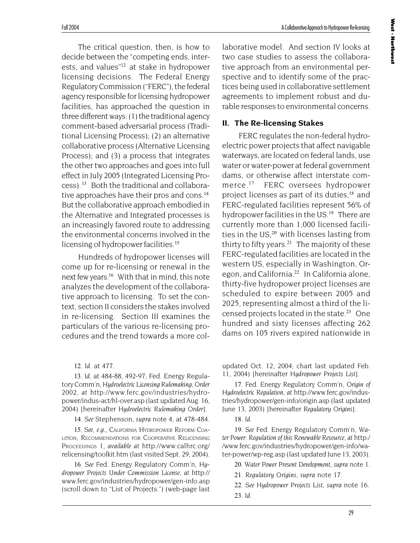The critical question, then, is how to decide between the "competing ends, interests, and values"<sup>12</sup> at stake in hydropower licensing decisions. The Federal Energy Regulatory Commission ("FERC"), the federal agency responsible for licensing hydropower facilities, has approached the question in three different ways: (1) the traditional agency comment-based adversarial process (Traditional Licensing Process); (2) an alternative collaborative process (Alternative Licensing Process); and (3) a process that integrates the other two approaches and goes into full effect in July 2005 (Integrated Licensing Process). <sup>13</sup> Both the traditional and collaborative approaches have their pros and cons.<sup>14</sup> But the collaborative approach embodied in the Alternative and Integrated processes is an increasingly favored route to addressing the environmental concerns involved in the licensing of hydropower facilities.<sup>15</sup>

Hundreds of hydropower licenses will come up for re-licensing or renewal in the next few years.<sup>16</sup> With that in mind, this note analyzes the development of the collaborative approach to licensing. To set the context, section II considers the stakes involved in re-licensing. Section III examines the particulars of the various re-licensing procedures and the trend towards a more col-

12*. Id.* at 477.

13*. Id.* at 484-88, 492-97; Fed. Energy Regulatory Comm'n, *Hydroelectric Licensing Rulemaking, Order 2002*, *at* http://www.ferc.gov/industries/hydropower/indus-act/hl-over.asp (last updated Aug. 16, 2004) [hereinafter *Hydroelectric Rulemaking Order*].

14*. See* Stephenson, *supra* note 4, at 478-484.

15*. See, e.g.*, CALIFORNIA HYDROPOWER REFORM COA-LITION, RECOMMENDATIONS FOR COOPERATIVE RELICENSING PROCEEDINGS 1, *available at* http://www.calhrc.org/ relicensing/toolkit.htm (last visited Sept. 29, 2004).

16*. See* Fed. Energy Regulatory Comm'n, *Hydropower Projects Under Commission License*, *at* http:// www.ferc.gov/industries/hydropower/gen-info.asp (scroll down to "List of Projects.") (web-page last laborative model. And section IV looks at two case studies to assess the collaborative approach from an environmental perspective and to identify some of the practices being used in collaborative settlement agreements to implement robust and durable responses to environmental concerns.

#### **II. The Re-licensing Stakes**

FERC regulates the non-federal hydroelectric power projects that affect navigable waterways, are located on federal lands, use water or water-power at federal government dams, or otherwise affect interstate commerce.<sup>17</sup> FERC oversees hydropower project licenses as part of its duties,<sup>18</sup> and FERC-regulated facilities represent 56% of hydropower facilities in the US.<sup>19</sup> There are currently more than 1,000 licensed facilities in the  $US<sub>1</sub><sup>20</sup>$  with licenses lasting from thirty to fifty years.<sup>21</sup> The majority of these FERC-regulated facilities are located in the western US, especially in Washington, Oregon, and California.<sup>22</sup> In California alone, thirty-five hydropower project licenses are scheduled to expire between 2005 and 2025, representing almost a third of the licensed projects located in the state.<sup>23</sup> One hundred and sixty licenses affecting 262 dams on 105 rivers expired nationwide in

updated Oct. 12, 2004; chart last updated Feb. 11, 2004) [hereinafter *Hydropower Projects List*].

17. Fed. Energy Regulatory Comm'n, *Origin of Hydroelectric Regulation*, *at* http://www.ferc.gov/industries/hydropower/gen-info/origin.asp (last updated June 13, 2003) [hereinafter *Regulatory Origins*].

18*. Id*.

19*. See* Fed. Energy Regulatory Comm'n, *Water Power: Regulation of this Renewable Resource*, *at* http:/ /www.ferc.gov/industries/hydropower/gen-info/water-power/wp-reg.asp (last updated June 13, 2003).

20*. Water Power Present Development*, *supra* note 1.

21*. Regulatory Origins*, *supra* note 17.

22*. See Hydropower Projects List*, *supra* note 16. 23*. Id.*

29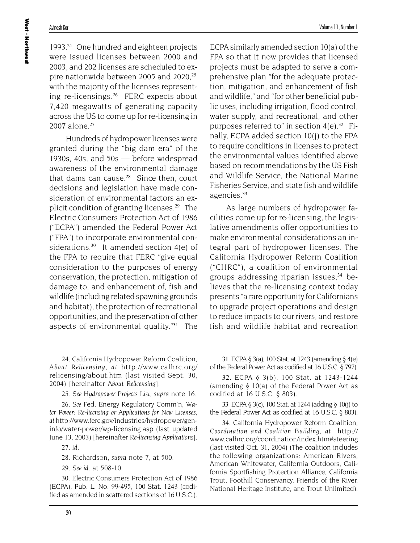1993.<sup>24</sup> One hundred and eighteen projects were issued licenses between 2000 and 2003, and 202 licenses are scheduled to expire nationwide between 2005 and  $2020<sup>25</sup>$ with the majority of the licenses representing re-licensings.<sup>26</sup> FERC expects about 7,420 megawatts of generating capacity across the US to come up for re-licensing in 2007 alone.<sup>27</sup>

Hundreds of hydropower licenses were granted during the "big dam era" of the 1930s, 40s, and 50s — before widespread awareness of the environmental damage that dams can cause. $28$  Since then, court decisions and legislation have made consideration of environmental factors an explicit condition of granting licenses.<sup>29</sup> The Electric Consumers Protection Act of 1986 ("ECPA") amended the Federal Power Act ("FPA") to incorporate environmental considerations.<sup>30</sup> It amended section  $4(e)$  of the FPA to require that FERC "give equal consideration to the purposes of energy conservation, the protection, mitigation of damage to, and enhancement of, fish and wildlife (including related spawning grounds and habitat), the protection of recreational opportunities, and the preservation of other aspects of environmental quality."<sup>31</sup> The

24. California Hydropower Reform Coalition, *About Relicensing*, *at* http://www.calhrc.org/ relicensing/about.htm (last visited Sept. 30, 2004) [hereinafter *About Relicensing*].

25*. See Hydropower Projects List*, *supra* note 16.

26*. See* Fed. Energy Regulatory Comm'n, *Water Power: Re-licensing or Applications for New Licenses*, *at* http://www.ferc.gov/industries/hydropower/geninfo/water-power/wp-licensing.asp (last updated June 13, 2003) [hereinafter *Re-licensing Applications*].

27*. Id*.

28. Richardson, *supra* note 7, at 500.

29*. See id.* at 508-10.

30. Electric Consumers Protection Act of 1986 (ECPA), Pub. L. No. 99-495, 100 Stat. 1243 (codified as amended in scattered sections of 16 U.S.C.). ECPA similarly amended section 10(a) of the FPA so that it now provides that licensed projects must be adapted to serve a comprehensive plan "for the adequate protection, mitigation, and enhancement of fish and wildlife," and "for other beneficial public uses, including irrigation, flood control, water supply, and recreational, and other purposes referred to" in section  $4(e)^{32}$  Finally, ECPA added section 10(j) to the FPA to require conditions in licenses to protect the environmental values identified above based on recommendations by the US Fish and Wildlife Service, the National Marine Fisheries Service, and state fish and wildlife agencies.<sup>33</sup>

As large numbers of hydropower facilities come up for re-licensing, the legislative amendments offer opportunities to make environmental considerations an integral part of hydropower licenses. The California Hydropower Reform Coalition ("CHRC"), a coalition of environmental groups addressing riparian issues, $34$  believes that the re-licensing context today presents "a rare opportunity for Californians to upgrade project operations and design to reduce impacts to our rivers, and restore fish and wildlife habitat and recreation

31. ECPA § 3(a), 100 Stat. at 1243 (amending § 4(e) of the Federal Power Act as codified at 16 U.S.C. § 797).

32. ECPA § 3(b), 100 Stat. at 1243-1244 (amending § 10(a) of the Federal Power Act as codified at 16 U.S.C. § 803).

33. ECPA § 3(c), 100 Stat. at 1244 (adding § 10(j) to the Federal Power Act as codified at 16 U.S.C. § 803).

34. California Hydropower Reform Coalition, *Coordination and Coalition Building*, *at* http:// www.calhrc.org/coordination/index.htm#steering (last visited Oct. 31, 2004) (The coalition includes the following organizations: American Rivers, American Whitewater, California Outdoors, California Sportfishing Protection Alliance, California Trout, Foothill Conservancy, Friends of the River, National Heritage Institute, and Trout Unlimited).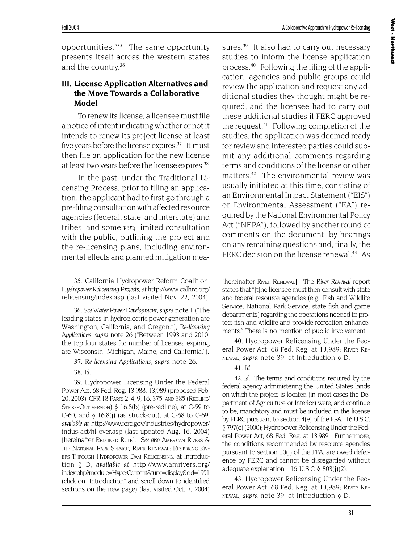opportunities."<sup>35</sup> The same opportunity presents itself across the western states and the country.<sup>36</sup>

Fall 2004

## **III. License Application Alternatives and the Move Towards a Collaborative Model**

To renew its license, a licensee must file a notice of intent indicating whether or not it intends to renew its project license at least five years before the license expires. $37$  It must then file an application for the new license at least two years before the license expires.<sup>38</sup>

In the past, under the Traditional Licensing Process, prior to filing an application, the applicant had to first go through a pre-filing consultation with affected resource agencies (federal, state, and interstate) and tribes, and some *very* limited consultation with the public, outlining the project and the re-licensing plans, including environmental effects and planned mitigation mea-

35. California Hydropower Reform Coalition, *Hydropower Relicensing Projects*, *at* http://www.calhrc.org/ relicensing/index.asp (last visited Nov. 22, 2004).

36*. See Water Power Development*, *supra* note 1 ("The leading states in hydroelectric power generation are Washington, California, and Oregon."); *Re-licensing Applications*, *supra* note 26 ("Between 1993 and 2010, the top four states for number of licenses expiring are Wisconsin, Michigan, Maine, and California.").

37*. Re-licensing Applications*, *supra* note 26.

38*. Id.*

39. Hydropower Licensing Under the Federal Power Act, 68 Fed. Reg. 13,988, 13,989 (proposed Feb. 20, 2003); CFR 18 PARTS 2, 4, 9, 16, 375, AND 385 (REDLINE/ STRIKE-OUT VERSION) § 16.8(b) (pre-redline), at C-59 to C-60, and § 16.8(j) (as struck-out), at C-68 to C-69, *available at* http://www.ferc.gov/industries/hydropower/ indus-act/hl-over.asp (last updated Aug. 16, 2004) [hereinafter REDLINED RULE]. *See also* AMERICAN RIVERS & THE NATIONAL PARK SERVICE, RIVER RENEWAL: RESTORING RIV-ERS THROUGH HYDROPOWER DAM RELICENSING, at Introduction § D, *available at* http://www.amrivers.org/ index.php?module=HyperContent&func=display&cid=1951 (click on "Introduction" and scroll down to identified sections on the new page) (last visited Oct. 7, 2004)

sures.<sup>39</sup> It also had to carry out necessary studies to inform the license application process.40 Following the filing of the application, agencies and public groups could review the application and request any additional studies they thought might be required, and the licensee had to carry out these additional studies if FERC approved the request.<sup>41</sup> Following completion of the studies, the application was deemed ready for review and interested parties could submit any additional comments regarding terms and conditions of the license or other matters.<sup>42</sup> The environmental review was usually initiated at this time, consisting of an Environmental Impact Statement ("EIS") or Environmental Assessment ("EA") required by the National Environmental Policy Act ("NEPA"), followed by another round of comments on the document, by hearings on any remaining questions and, finally, the FERC decision on the license renewal.<sup>43</sup> As

[hereinafter RIVER RENEWAL]. The *River Renewal* report states that "[t]he licensee must then consult with state and federal resource agencies (e.g., Fish and Wildlife Service, National Park Service, state fish and game departments) regarding the operations needed to protect fish and wildlife and provide recreation enhancements." There is no mention of public involvement.

40. Hydropower Relicensing Under the Federal Power Act, 68 Fed. Reg. at 13,989; RIVER RE-NEWAL, *supra* note 39, at Introduction § D.

41*. Id.*

42*. Id.* The terms and conditions required by the federal agency administering the United States lands on which the project is located (in most cases the Department of Agriculture or Interior) were, and continue to be, mandatory and must be included in the license by FERC pursuant to section 4(e) of the FPA. 16 U.S.C. § 797(e) (2000); Hydropower Relicensing Under the Federal Power Act, 68 Fed. Reg. at 13,989. Furthermore, the conditions recommended by resource agencies pursuant to section 10(j) of the FPA, are owed deference by FERC and cannot be disregarded without adequate explanation. 16 U.S.C  $\S$  803(j)(2).

43. Hydropower Relicensing Under the Federal Power Act, 68 Fed. Reg. at 13,989; RIVER RE-NEWAL, *supra* note 39, at Introduction § D.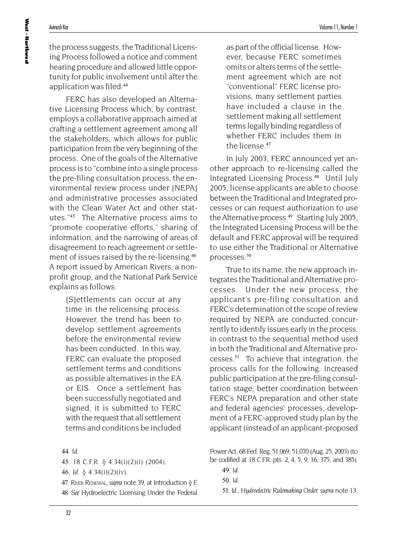the process suggests, the Traditional Licensing Process followed a notice and comment hearing procedure and allowed little opportunity for public involvement until after the application was filed.<sup>44</sup>

FERC has also developed an Alternative Licensing Process which, by contrast, employs a collaborative approach aimed at crafting a settlement agreement among all the stakeholders, which allows for public participation from the very beginning of the process. One of the goals of the Alternative process is to "combine into a single process the pre-filing consultation process, the environmental review process under [NEPA] and administrative processes associated with the Clean Water Act and other statutes."<sup>45</sup> The Alternative process aims to "promote cooperative efforts," sharing of information, and the narrowing of areas of disagreement to reach agreement or settlement of issues raised by the re-licensing.<sup>46</sup> A report issued by American Rivers, a nonprofit group, and the National Park Service explains as follows:

> [S]ettlements can occur at any time in the relicensing process. However, the trend has been to develop settlement agreements before the environmental review has been conducted. In this way, FERC can evaluate the proposed settlement terms and conditions as possible alternatives in the EA or EIS. Once a settlement has been successfully negotiated and signed, it is submitted to FERC with the request that all settlement terms and conditions be included

45. 18 C.F.R. § 4.34(i)(2)(i) (2004).

46*. Id.* § 4.34(i)(2)(iv).

47. RIVER RENEWAL, *supra* note 39, at Introduction § F. 48*. See* Hydroelectric Licensing Under the Federal

as part of the official license. However, because FERC sometimes omits or alters terms of the settlement agreement which are not "conventional" FERC license provisions, many settlement parties have included a clause in the settlement making all settlement terms legally binding regardless of whether FERC includes them in the license.<sup>47</sup>

In July 2003, FERC announced yet another approach to re-licensing called the Integrated Licensing Process.<sup>48</sup> Until July 2005, license applicants are able to choose between the Traditional and Integrated processes or can request authorization to use the Alternative process. $49$  Starting July 2005, the Integrated Licensing Process will be the default and FERC approval will be required to use either the Traditional or Alternative processes.<sup>50</sup>

True to its name, the new approach integrates the Traditional and Alternative processes. Under the new process, the applicant's pre-filing consultation and FERC's determination of the scope of review required by NEPA are conducted concurrently to identify issues early in the process, in contrast to the sequential method used in both the Traditional and Alternative processes.<sup>51</sup> To achieve that integration, the process calls for the following: increased public participation at the pre-filing consultation stage; better coordination between FERC's NEPA preparation and other state and federal agencies' processes; development of a FERC-approved study plan by the applicant (instead of an applicant-proposed

Power Act, 68 Fed. Reg. 51,069, 51,070 (Aug. 25, 2003) (to be codified at 18 C.F.R. pts. 2, 4, 5, 9, 16, 375, and 385).

49*. Id.*

50*. Id.*

51*. Id.*; *Hydroelectric Rulemaking Order, supra* note 13.

<sup>44</sup>*. Id.*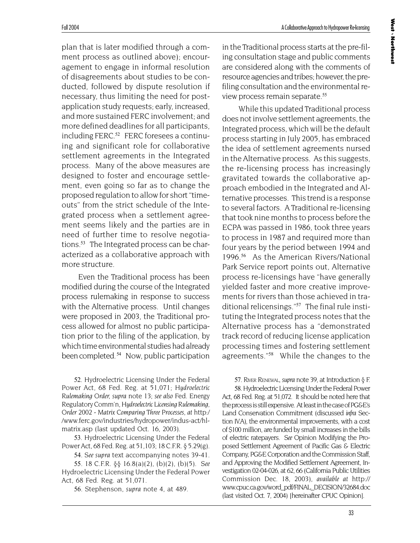plan that is later modified through a comment process as outlined above); encouragement to engage in informal resolution of disagreements about studies to be conducted, followed by dispute resolution if necessary, thus limiting the need for postapplication study requests; early, increased, and more sustained FERC involvement; and more defined deadlines for all participants, including FERC.<sup>52</sup> FERC foresees a continuing and significant role for collaborative settlement agreements in the Integrated process. Many of the above measures are designed to foster and encourage settlement, even going so far as to change the proposed regulation to allow for short "timeouts" from the strict schedule of the Integrated process when a settlement agreement seems likely and the parties are in need of further time to resolve negotiations.<sup>53</sup> The Integrated process can be characterized as a collaborative approach with more structure.

Even the Traditional process has been modified during the course of the Integrated process rulemaking in response to success with the Alternative process. Until changes were proposed in 2003, the Traditional process allowed for almost no public participation prior to the filing of the application, by which time environmental studies had already been completed.<sup>54</sup> Now, public participation

52. Hydroelectric Licensing Under the Federal Power Act, 68 Fed. Reg. at 51,071; *Hydroelectric Rulemaking Order, supra* note 13; *see also* Fed. Energy Regulatory Comm'n, *Hydroelectric Licensing Rulemaking, Order 2002 - Matrix Comparing Three Processes*, *at* http:/ /www.ferc.gov/industries/hydropower/indus-act/hlmatrix.asp (last updated Oct. 16, 2003).

53. Hydroelectric Licensing Under the Federal Power Act, 68 Fed. Reg. at 51,103; 18 C.F.R. § 5.29(g).

54*. See supra* text accompanying notes 39-41.

55. 18 C.F.R. §§ 16.8(a)(2), (b)(2), (b)(5). *See* Hydroelectric Licensing Under the Federal Power Act, 68 Fed. Reg. at 51,071.

56. Stephenson, *supra* note 4, at 489.

A Collaborative Approach to Hydropower Re-licensing

in the Traditional process starts at the pre-filing consultation stage and public comments are considered along with the comments of resource agencies and tribes; however, the prefiling consultation and the environmental review process remain separate.<sup>55</sup>

While this updated Traditional process does not involve settlement agreements, the Integrated process, which will be the default process starting in July 2005, has embraced the idea of settlement agreements nursed in the Alternative process. As this suggests, the re-licensing process has increasingly gravitated towards the collaborative approach embodied in the Integrated and Alternative processes. This trend is a response to several factors. A Traditional re-licensing that took nine months to process before the ECPA was passed in 1986, took three years to process in 1987 and required more than four years by the period between 1994 and 1996.<sup>56</sup> As the American Rivers/National Park Service report points out, Alternative process re-licensings have "have generally yielded faster and more creative improvements for rivers than those achieved in traditional relicensings."57 The final rule instituting the Integrated process notes that the Alternative process has a "demonstrated track record of reducing license application processing times and fostering settlement agreements."<sup>58</sup> While the changes to the

57. RIVER RENEWAL, *supra* note 39, at Introduction § F.

58. Hydroelectric Licensing Under the Federal Power Act, 68 Fed. Reg. at 51,072. It should be noted here that the process is still expensive. At least in the case of PG&E's Land Conservation Commitment (discussed *infra* Section IV.A), the environmental improvements, with a cost of \$100 million, are funded by small increases in the bills of electric ratepayers. *See* Opinion Modifying the Proposed Settlement Agreement of Pacific Gas & Electric Company, PG&E Corporation and the Commission Staff, and Approving the Modified Settlement Agreement, Investigation 02-04-026, at 62, 66 (California Public Utilities Commission Dec. 18, 2003), *available at* http:// www.cpuc.ca.gov/word\_pdf/FINAL\_DECISION/32684.doc (last visited Oct. 7, 2004) [hereinafter CPUC Opinion].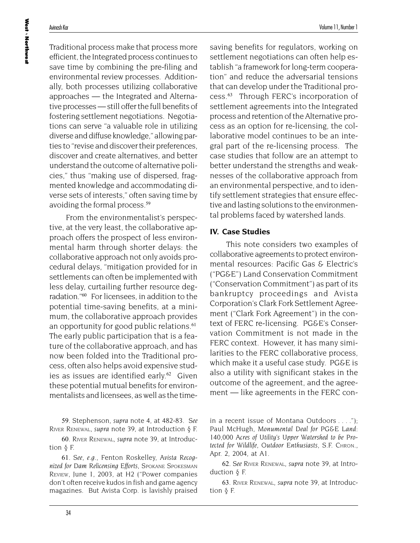Traditional process make that process more efficient, the Integrated process continues to save time by combining the pre-filing and environmental review processes. Additionally, both processes utilizing collaborative approaches — the Integrated and Alternative processes — still offer the full benefits of fostering settlement negotiations. Negotiations can serve "a valuable role in utilizing diverse and diffuse knowledge," allowing parties to "revise and discover their preferences, discover and create alternatives, and better understand the outcome of alternative policies," thus "making use of dispersed, fragmented knowledge and accommodating diverse sets of interests," often saving time by avoiding the formal process.<sup>59</sup>

From the environmentalist's perspective, at the very least, the collaborative approach offers the prospect of less environmental harm through shorter delays: the collaborative approach not only avoids procedural delays, "mitigation provided for in settlements can often be implemented with less delay, curtailing further resource degradation."<sup>60</sup> For licensees, in addition to the potential time-saving benefits, at a minimum, the collaborative approach provides an opportunity for good public relations.<sup>61</sup> The early public participation that is a feature of the collaborative approach, and has now been folded into the Traditional process, often also helps avoid expensive studies as issues are identified early.<sup>62</sup> Given these potential mutual benefits for environmentalists and licensees, as well as the time-

59. Stephenson, *supra* note 4, at 482-83. *See* RIVER RENEWAL, *supra* note 39, at Introduction § F.

60. RIVER RENEWAL, *supra* note 39, at Introduction § F.

61*. See, e.g.*, Fenton Roskelley, *Avista Recognized for Dam Relicensing Efforts*, SPOKANE SPOKESMAN REVIEW, June 1, 2003, at H2 ("Power companies don't often receive kudos in fish and game agency magazines. But Avista Corp. is lavishly praised saving benefits for regulators, working on settlement negotiations can often help establish "a framework for long-term cooperation" and reduce the adversarial tensions that can develop under the Traditional process.<sup>63</sup> Through FERC's incorporation of settlement agreements into the Integrated process and retention of the Alternative process as an option for re-licensing, the collaborative model continues to be an integral part of the re-licensing process. The case studies that follow are an attempt to better understand the strengths and weaknesses of the collaborative approach from an environmental perspective, and to identify settlement strategies that ensure effective and lasting solutions to the environmental problems faced by watershed lands.

## **IV. Case Studies**

This note considers two examples of collaborative agreements to protect environmental resources: Pacific Gas & Electric's ("PG&E") Land Conservation Commitment ("Conservation Commitment") as part of its bankruptcy proceedings and Avista Corporation's Clark Fork Settlement Agreement ("Clark Fork Agreement") in the context of FERC re-licensing. PG&E's Conservation Commitment is not made in the FERC context. However, it has many similarities to the FERC collaborative process, which make it a useful case study. PG&E is also a utility with significant stakes in the outcome of the agreement, and the agreement — like agreements in the FERC con-

in a recent issue of Montana Outdoors . . . ."); Paul McHugh, *Monumental Deal for PG&E Land: 140,000 Acres of Utility's Upper Watershed to be Protected for Wildlife, Outdoor Enthusiasts*, S.F. CHRON., Apr. 2, 2004, at A1.

62*. See* RIVER RENEWAL, *supra* note 39, at Introduction § F.

63. RIVER RENEWAL, *supra* note 39, at Introduction § F.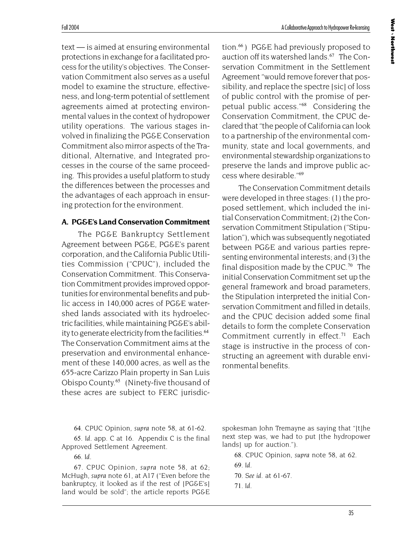text — is aimed at ensuring environmental protections in exchange for a facilitated process for the utility's objectives. The Conservation Commitment also serves as a useful model to examine the structure, effectiveness, and long-term potential of settlement agreements aimed at protecting environmental values in the context of hydropower utility operations. The various stages involved in finalizing the PG&E Conservation Commitment also mirror aspects of the Traditional, Alternative, and Integrated processes in the course of the same proceeding. This provides a useful platform to study the differences between the processes and the advantages of each approach in ensuring protection for the environment.

## **A. PG&E's Land Conservation Commitment**

The PG&E Bankruptcy Settlement Agreement between PG&E, PG&E's parent corporation, and the California Public Utilities Commission ("CPUC"), included the Conservation Commitment. This Conservation Commitment provides improved opportunities for environmental benefits and public access in 140,000 acres of PG&E watershed lands associated with its hydroelectric facilities, while maintaining PG&E's ability to generate electricity from the facilities.<sup>64</sup> The Conservation Commitment aims at the preservation and environmental enhancement of these 140,000 acres, as well as the 655-acre Carizzo Plain property in San Luis Obispo County.<sup>65</sup> (Ninety-five thousand of these acres are subject to FERC jurisdiction.<sup>66</sup>) PG&E had previously proposed to auction off its watershed lands.<sup>67</sup> The Conservation Commitment in the Settlement Agreement "would remove forever that possibility, and replace the spectre [sic] of loss of public control with the promise of perpetual public access."<sup>68</sup> Considering the Conservation Commitment, the CPUC declared that "the people of California can look to a partnership of the environmental community, state and local governments, and environmental stewardship organizations to preserve the lands and improve public access where desirable."<sup>69</sup>

The Conservation Commitment details were developed in three stages: (1) the proposed settlement, which included the initial Conservation Commitment; (2) the Conservation Commitment Stipulation ("Stipulation"), which was subsequently negotiated between PG&E and various parties representing environmental interests; and (3) the final disposition made by the CPUC.<sup>70</sup> The initial Conservation Commitment set up the general framework and broad parameters, the Stipulation interpreted the initial Conservation Commitment and filled in details, and the CPUC decision added some final details to form the complete Conservation Commitment currently in effect.<sup>71</sup> Each stage is instructive in the process of constructing an agreement with durable environmental benefits.

64. CPUC Opinion, *supra* note 58, at 61-62. 65*. Id.* app. C at 16. Appendix C is the final Approved Settlement Agreement.

66*. Id.*

67. CPUC Opinion, *supra* note 58, at 62; McHugh, *supra* note 61, at A17 ("Even before the bankruptcy, it looked as if the rest of [PG&E's] land would be sold"; the article reports PG&E spokesman John Tremayne as saying that "[t]he next step was, we had to put [the hydropower lands] up for auction.").

68. CPUC Opinion, *supra* note 58, at 62. 69*. Id.*

70*. See id.* at 61-67.

<sup>71</sup>*. Id.*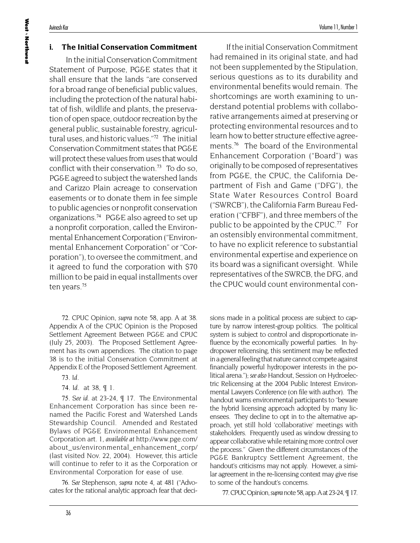## **i. The Initial Conservation Commitment**

In the initial Conservation Commitment Statement of Purpose, PG&E states that it shall ensure that the lands "are conserved for a broad range of beneficial public values, including the protection of the natural habitat of fish, wildlife and plants, the preservation of open space, outdoor recreation by the general public, sustainable forestry, agricultural uses, and historic values."<sup>72</sup> The initial Conservation Commitment states that PG&E will protect these values from uses that would conflict with their conservation.<sup>73</sup> To do so, PG&E agreed to subject the watershed lands and Carizzo Plain acreage to conservation easements or to donate them in fee simple to public agencies or nonprofit conservation organizations.<sup>74</sup> PG&E also agreed to set up a nonprofit corporation, called the Environmental Enhancement Corporation ("Environmental Enhancement Corporation" or "Corporation"), to oversee the commitment, and it agreed to fund the corporation with \$70 million to be paid in equal installments over ten years.<sup>75</sup>

72. CPUC Opinion, *supra* note 58, app. A at 38. Appendix A of the CPUC Opinion is the Proposed Settlement Agreement Between PG&E and CPUC (July 25, 2003). The Proposed Settlement Agreement has its own appendices. The citation to page 38 is to the initial Conservation Commitment at Appendix E of the Proposed Settlement Agreement.

73*. Id*.

74*. Id.* at 38, ¶ 1.

75*. See id.* at 23-24, ¶ 17. The Environmental Enhancement Corporation has since been renamed the Pacific Forest and Watershed Lands Stewardship Council. Amended and Restated Bylaws of PG&E Environmental Enhancement Corporation art. 1, *available at* http://www.pge.com/ about\_us/environmental\_enhancement\_corp/ (last visited Nov. 22, 2004). However, this article will continue to refer to it as the Corporation or Environmental Corporation for ease of use.

76*. See* Stephenson, *supra* note 4, at 481 ("Advocates for the rational analytic approach fear that deci-

If the initial Conservation Commitment had remained in its original state, and had not been supplemented by the Stipulation, serious questions as to its durability and environmental benefits would remain. The shortcomings are worth examining to understand potential problems with collaborative arrangements aimed at preserving or protecting environmental resources and to learn how to better structure effective agreements.<sup>76</sup> The board of the Environmental Enhancement Corporation ("Board") was originally to be composed of representatives from PG&E, the CPUC, the California Department of Fish and Game ("DFG"), the State Water Resources Control Board ("SWRCB"), the California Farm Bureau Federation ("CFBF"), and three members of the public to be appointed by the CPUC.<sup>77</sup> For an ostensibly environmental commitment, to have no explicit reference to substantial environmental expertise and experience on its board was a significant oversight. While representatives of the SWRCB, the DFG, and the CPUC would count environmental con-

sions made in a political process are subject to capture by narrow interest-group politics. The political system is subject to control and disproportionate influence by the economically powerful parties. In hydropower relicensing, this sentiment may be reflected in a general feeling that nature cannot compete against financially powerful hydropower interests in the political arena."); *see also* Handout, Session on Hydroelectric Relicensing at the 2004 Public Interest Environmental Lawyers Conference (on file with author). The handout warns environmental participants to "beware the hybrid licensing approach adopted by many licensees. They decline to opt in to the alternative approach, yet still hold 'collaborative' meetings with stakeholders. Frequently used as window dressing to appear collaborative while retaining more control over the process." Given the different circumstances of the PG&E Bankruptcy Settlement Agreement, the handout's criticisms may not apply. However, a similar agreement in the re-licensing context may give rise to some of the handout's concerns.

77. CPUC Opinion, *supra* note 58, app. A at 23-24, ¶ 17.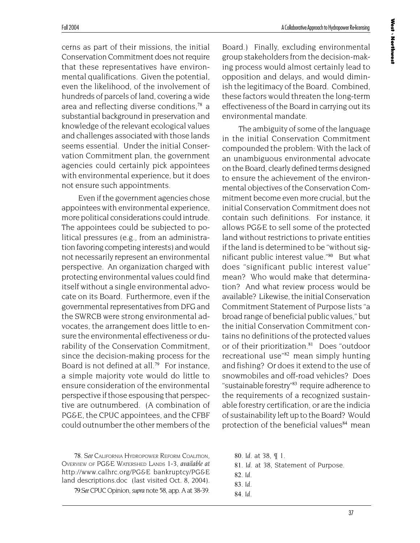cerns as part of their missions, the initial Conservation Commitment does not require that these representatives have environmental qualifications. Given the potential, even the likelihood, of the involvement of hundreds of parcels of land, covering a wide area and reflecting diverse conditions,<sup>78</sup> a substantial background in preservation and knowledge of the relevant ecological values and challenges associated with those lands seems essential. Under the initial Conservation Commitment plan, the government agencies could certainly pick appointees with environmental experience, but it does not ensure such appointments.

Even if the government agencies chose appointees with environmental experience, more political considerations could intrude. The appointees could be subjected to political pressures (e.g., from an administration favoring competing interests) and would not necessarily represent an environmental perspective. An organization charged with protecting environmental values could find itself without a single environmental advocate on its Board. Furthermore, even if the governmental representatives from DFG and the SWRCB were strong environmental advocates, the arrangement does little to ensure the environmental effectiveness or durability of the Conservation Commitment, since the decision-making process for the Board is not defined at all.<sup>79</sup> For instance, a simple majority vote would do little to ensure consideration of the environmental perspective if those espousing that perspective are outnumbered. (A combination of PG&E, the CPUC appointees, and the CFBF could outnumber the other members of the

78*. See* CALIFORNIA HYDROPOWER REFORM COALITION, OVERVIEW OF PG&E WATERSHED LANDS 1-3, *available at* http://www.calhrc.org/PG&E bankruptcy/PG&E land descriptions.doc (last visited Oct. 8, 2004).

79*.See* CPUC Opinion, *supra* note 58, app. A at 38-39.

Board.) Finally, excluding environmental group stakeholders from the decision-making process would almost certainly lead to opposition and delays, and would diminish the legitimacy of the Board. Combined, these factors would threaten the long-term effectiveness of the Board in carrying out its environmental mandate.

The ambiguity of some of the language in the initial Conservation Commitment compounded the problem: With the lack of an unambiguous environmental advocate on the Board, clearly defined terms designed to ensure the achievement of the environmental objectives of the Conservation Commitment become even more crucial, but the initial Conservation Commitment does not contain such definitions. For instance, it allows PG&E to sell some of the protected land without restrictions to private entities if the land is determined to be "without significant public interest value."<sup>80</sup> But what does "significant public interest value" mean? Who would make that determination? And what review process would be available? Likewise, the initial Conservation Commitment Statement of Purpose lists "a broad range of beneficial public values," but the initial Conservation Commitment contains no definitions of the protected values or of their prioritization.<sup>81</sup> Does "outdoor recreational use<sup>"82</sup> mean simply hunting and fishing? Or does it extend to the use of snowmobiles and off-road vehicles? Does "sustainable forestry"<sup>83</sup> require adherence to the requirements of a recognized sustainable forestry certification, or are the indicia of sustainability left up to the Board? Would protection of the beneficial values<sup>84</sup> mean

- 80*. Id.* at 38, ¶ 1.
- 81*. Id.* at 38, Statement of Purpose.
- 82*. Id.*
- 83*. Id.*
- 84*. Id.*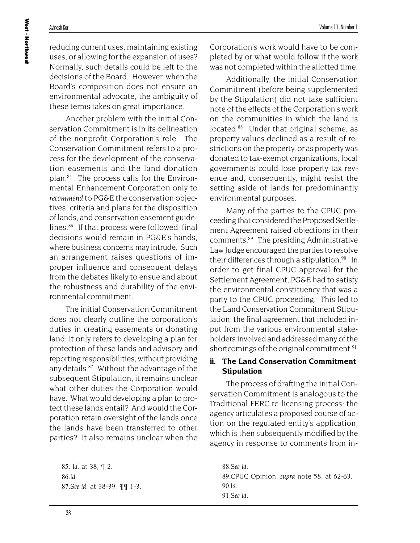reducing current uses, maintaining existing uses, or allowing for the expansion of uses? Normally, such details could be left to the decisions of the Board. However, when the Board's composition does not ensure an environmental advocate, the ambiguity of these terms takes on great importance.

Another problem with the initial Conservation Commitment is in its delineation of the nonprofit Corporation's role. The Conservation Commitment refers to a process for the development of the conservation easements and the land donation plan.85 The process calls for the Environmental Enhancement Corporation only to *recommend* to PG&E the conservation objectives, criteria and plans for the disposition of lands, and conservation easement guidelines.<sup>86</sup> If that process were followed, final decisions would remain in PG&E's hands, where business concerns may intrude. Such an arrangement raises questions of improper influence and consequent delays from the debates likely to ensue and about the robustness and durability of the environmental commitment.

The initial Conservation Commitment does not clearly outline the corporation's duties in creating easements or donating land; it only refers to developing a plan for protection of these lands and advisory and reporting responsibilities, without providing any details.<sup>87</sup> Without the advantage of the subsequent Stipulation, it remains unclear what other duties the Corporation would have. What would developing a plan to protect these lands entail? And would the Corporation retain oversight of the lands once the lands have been transferred to other parties? It also remains unclear when the

85*. Id.* at 38, ¶ 2. 86*.Id.* 87*.See id.* at 38-39, ¶¶ 1-3*.* Corporation's work would have to be completed by or what would follow if the work was not completed within the allotted time.

Additionally, the initial Conservation Commitment (before being supplemented by the Stipulation) did not take sufficient note of the effects of the Corporation's work on the communities in which the land is located.<sup>88</sup> Under that original scheme, as property values declined as a result of restrictions on the property, or as property was donated to tax-exempt organizations, local governments could lose property tax revenue and, consequently, might resist the setting aside of lands for predominantly environmental purposes.

Many of the parties to the CPUC proceeding that considered the Proposed Settlement Agreement raised objections in their comments.<sup>89</sup> The presiding Administrative Law Judge encouraged the parties to resolve their differences through a stipulation.<sup>90</sup> In order to get final CPUC approval for the Settlement Agreement, PG&E had to satisfy the environmental constituency that was a party to the CPUC proceeding. This led to the Land Conservation Commitment Stipulation, the final agreement that included input from the various environmental stakeholders involved and addressed many of the shortcomings of the original commitment.<sup>91</sup>

#### **ii. The Land Conservation Commitment Stipulation**

The process of drafting the initial Conservation Commitment is analogous to the Traditional FERC re-licensing process: the agency articulates a proposed course of action on the regulated entity's application, which is then subsequently modified by the agency in response to comments from in-

88*.See id.* 89.CPUC Opinion, *supra* note 58, at 62-63. 90*.Id.* 91*.See id.*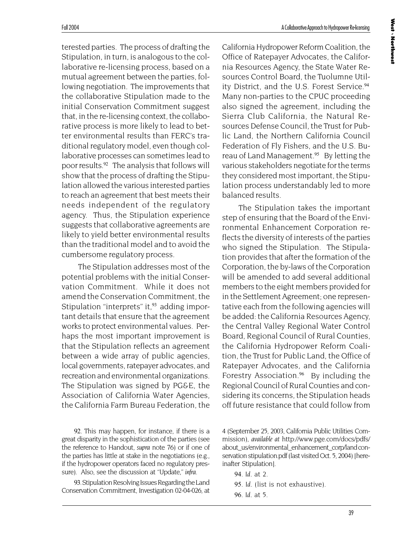West **Morthwest Northwest**

terested parties. The process of drafting the Stipulation, in turn, is analogous to the collaborative re-licensing process, based on a mutual agreement between the parties, following negotiation. The improvements that the collaborative Stipulation made to the initial Conservation Commitment suggest that, in the re-licensing context, the collaborative process is more likely to lead to better environmental results than FERC's traditional regulatory model, even though collaborative processes can sometimes lead to poor results.<sup>92</sup> The analysis that follows will show that the process of drafting the Stipulation allowed the various interested parties to reach an agreement that best meets their needs independent of the regulatory agency. Thus, the Stipulation experience suggests that collaborative agreements are likely to yield better environmental results than the traditional model and to avoid the cumbersome regulatory process.

The Stipulation addresses most of the potential problems with the initial Conservation Commitment. While it does not amend the Conservation Commitment, the Stipulation "interprets" it, $93$  adding important details that ensure that the agreement works to protect environmental values. Perhaps the most important improvement is that the Stipulation reflects an agreement between a wide array of public agencies, local governments, ratepayer advocates, and recreation and environmental organizations. The Stipulation was signed by PG&E, the Association of California Water Agencies, the California Farm Bureau Federation, the

92. This may happen, for instance, if there is a great disparity in the sophistication of the parties (see the reference to Handout, *supra* note 76) or if one of the parties has little at stake in the negotiations (e.g., if the hydropower operators faced no regulatory pressure). Also, see the discussion at "Update," *infra*.

93. Stipulation Resolving Issues Regarding the Land Conservation Commitment, Investigation 02-04-026, at California Hydropower Reform Coalition, the Office of Ratepayer Advocates, the California Resources Agency, the State Water Resources Control Board, the Tuolumne Utility District, and the U.S. Forest Service.<sup>94</sup> Many non-parties to the CPUC proceeding also signed the agreement, including the Sierra Club California, the Natural Resources Defense Council, the Trust for Public Land, the Northern California Council Federation of Fly Fishers, and the U.S. Bureau of Land Management.<sup>95</sup> By letting the various stakeholders negotiate for the terms they considered most important, the Stipulation process understandably led to more balanced results.

The Stipulation takes the important step of ensuring that the Board of the Environmental Enhancement Corporation reflects the diversity of interests of the parties who signed the Stipulation. The Stipulation provides that after the formation of the Corporation, the by-laws of the Corporation will be amended to add several additional members to the eight members provided for in the Settlement Agreement; one representative each from the following agencies will be added: the California Resources Agency, the Central Valley Regional Water Control Board, Regional Council of Rural Counties, the California Hydropower Reform Coalition, the Trust for Public Land, the Office of Ratepayer Advocates, and the California Forestry Association.<sup>96</sup> By including the Regional Council of Rural Counties and considering its concerns, the Stipulation heads off future resistance that could follow from

4 (September 25, 2003, California Public Utilities Commission), *available at* http://www.pge.com/docs/pdfs/ about\_us/environmental\_enhancement\_corp/land conservation stipulation.pdf (last visited Oct. 5, 2004) [hereinafter Stipulation].

94*. Id.* at 2. 95*. Id.* (list is not exhaustive).

96*. Id.* at 5.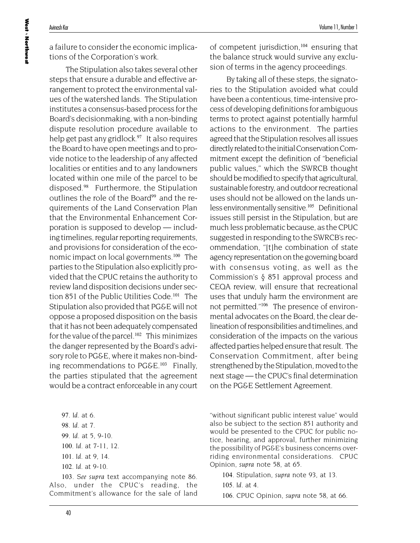a failure to consider the economic implications of the Corporation's work.

The Stipulation also takes several other steps that ensure a durable and effective arrangement to protect the environmental values of the watershed lands. The Stipulation institutes a consensus-based process for the Board's decisionmaking, with a non-binding dispute resolution procedure available to help get past any gridlock.<sup>97</sup> It also requires the Board to have open meetings and to provide notice to the leadership of any affected localities or entities and to any landowners located within one mile of the parcel to be disposed.<sup>98</sup> Furthermore, the Stipulation outlines the role of the Board<sup>99</sup> and the requirements of the Land Conservation Plan that the Environmental Enhancement Corporation is supposed to develop — including timelines, regular reporting requirements, and provisions for consideration of the economic impact on local governments.<sup>100</sup> The parties to the Stipulation also explicitly provided that the CPUC retains the authority to review land disposition decisions under section 851 of the Public Utilities Code.<sup>101</sup> The Stipulation also provided that PG&E will not oppose a proposed disposition on the basis that it has not been adequately compensated for the value of the parcel.<sup>102</sup> This minimizes the danger represented by the Board's advisory role to PG&E, where it makes non-binding recommendations to PG&E.<sup>103</sup> Finally, the parties stipulated that the agreement would be a contract enforceable in any court

*. Id.* at 6. *. Id.* at 7. *. Id.* at 5, 9-10. *. Id.* at 7-11, 12. *. Id.* at 9, 14. *. Id.* at 9-10.

103*. See supra* text accompanying note 86. Also, under the CPUC's reading, the Commitment's allowance for the sale of land

of competent jurisdiction, $104$  ensuring that the balance struck would survive any exclusion of terms in the agency proceedings.

By taking all of these steps, the signatories to the Stipulation avoided what could have been a contentious, time-intensive process of developing definitions for ambiguous terms to protect against potentially harmful actions to the environment. The parties agreed that the Stipulation resolves all issues directly related to the initial Conservation Commitment except the definition of "beneficial public values," which the SWRCB thought should be modified to specify that agricultural, sustainable forestry, and outdoor recreational uses should not be allowed on the lands unless environmentally sensitive.<sup>105</sup> Definitional issues still persist in the Stipulation, but are much less problematic because, as the CPUC suggested in responding to the SWRCB's recommendation, "[t]he combination of state agency representation on the governing board with consensus voting, as well as the Commission's § 851 approval process and CEQA review, will ensure that recreational uses that unduly harm the environment are not permitted."<sup>106</sup> The presence of environmental advocates on the Board, the clear delineation of responsibilities and timelines, and consideration of the impacts on the various affected parties helped ensure that result. The Conservation Commitment, after being strengthened by the Stipulation, moved to the next stage — the CPUC's final determination on the PG&E Settlement Agreement.

"without significant public interest value" would also be subject to the section 851 authority and would be presented to the CPUC for public notice, hearing, and approval, further minimizing the possibility of PG&E's business concerns overriding environmental considerations. CPUC Opinion, *supra* note 58, at 65.

104. Stipulation, *supra* note 93, at 13.

105*. Id*. at 4.

106. CPUC Opinion, *supra* note 58, at 66.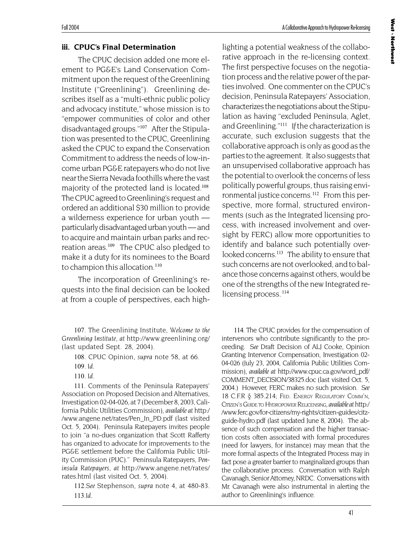#### **iii. CPUC's Final Determination**

The CPUC decision added one more element to PG&E's Land Conservation Commitment upon the request of the Greenlining Institute ("Greenlining"). Greenlining describes itself as a "multi-ethnic public policy and advocacy institute," whose mission is to "empower communities of color and other disadvantaged groups."107 After the Stipulation was presented to the CPUC, Greenlining asked the CPUC to expand the Conservation Commitment to address the needs of low-income urban PG&E ratepayers who do not live near the Sierra Nevada foothills where the vast majority of the protected land is located.<sup>108</sup> The CPUC agreed to Greenlining's request and ordered an additional \$30 million to provide a wilderness experience for urban youth particularly disadvantaged urban youth — and to acquire and maintain urban parks and recreation areas.<sup>109</sup> The CPUC also pledged to make it a duty for its nominees to the Board to champion this allocation.<sup>110</sup>

The incorporation of Greenlining's requests into the final decision can be looked at from a couple of perspectives, each high-

107. The Greenlining Institute, *Welcome to the Greenlining Institute*, *at* http://www.greenlining.org/ (last updated Sept. 28, 2004).

111. Comments of the Peninsula Ratepayers' Association on Proposed Decision and Alternatives, Investigation 02-04-026, at 7 (December 8, 2003, California Public Utilities Commission), *available at* http:/ /www.angene.net/rates/Pen\_In\_PD.pdf (last visited Oct. 5, 2004). Peninsula Ratepayers invites people to join "a no-dues organization that Scott Rafferty has organized to advocate for improvements to the PG&E settlement before the California Public Utility Commission (PUC)." Peninsula Ratepayers, *Peninsula Ratepayers*, *at* http://www.angene.net/rates/ rates.html (last visited Oct. 5, 2004).

112*.See* Stephenson, *supra* note 4, at 480-83. 113*.Id.*

lighting a potential weakness of the collaborative approach in the re-licensing context. The first perspective focuses on the negotiation process and the relative power of the parties involved. One commenter on the CPUC's decision, Peninsula Ratepayers' Association, characterizes the negotiations about the Stipulation as having "excluded Peninsula, Aglet, and Greenlining."<sup>111</sup> *If* the characterization is accurate, such exclusion suggests that the collaborative approach is only as good as the parties to the agreement. It also suggests that an unsupervised collaborative approach has the potential to overlook the concerns of less politically powerful groups, thus raising environmental justice concerns.<sup>112</sup> From this perspective, more formal, structured environments (such as the Integrated licensing process, with increased involvement and oversight by FERC) allow more opportunities to identify and balance such potentially overlooked concerns.<sup>113</sup> The ability to ensure that such concerns are not overlooked, and to balance those concerns against others, would be one of the strengths of the new Integrated relicensing process.<sup>114</sup>

114. The CPUC provides for the compensation of intervenors who contribute significantly to the proceeding. *See* Draft Decision of ALJ Cooke, Opinion Granting Intervenor Compensation, Investigation 02- 04-026 (July 23, 2004, California Public Utilities Commission), *available at* http://www.cpuc.ca.gov/word\_pdf/ COMMENT\_DECISION/38325.doc (last visited Oct. 5, 2004.) However, FERC makes no such provision. *See* 18 C.F.R § 385.214; FED. ENERGY REGULATORY COMM'N, CITIZEN'S GUIDE TO HYDROPOWER RELICENSING, *available at* http:/ /www.ferc.gov/for-citizens/my-rights/citizen-guides/citzguide-hydro.pdf (last updated June 8, 2004). The absence of such compensation and the higher transaction costs often associated with formal procedures (need for lawyers, for instance) may mean that the more formal aspects of the Integrated Process may in fact pose a greater barrier to marginalized groups than the collaborative process. Conversation with Ralph Cavanagh, Senior Attorney, NRDC. Conversations with Mr. Cavanagh were also instrumental in alerting the author to Greenlining's influence.

<sup>108</sup>. CPUC Opinion, *supra* note 58, at 66.

<sup>109</sup>*. Id*.

<sup>110</sup>*. Id*.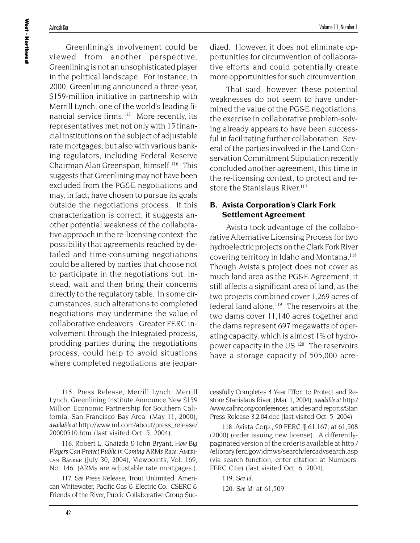**West Northwest**

Greenlining's involvement could be viewed from another perspective. Greenlining is not an unsophisticated player in the political landscape. For instance, in 2000, Greenlining announced a three-year, \$159-million initiative in partnership with Merrill Lynch, one of the world's leading financial service firms.<sup>115</sup> More recently, its representatives met not only with 15 financial institutions on the subject of adjustable rate mortgages, but also with various banking regulators, including Federal Reserve Chairman Alan Greenspan, himself.<sup>116</sup> This suggests that Greenlining may not have been excluded from the PG&E negotiations and may, in fact, have chosen to pursue its goals outside the negotiations process. If this characterization is correct, it suggests another potential weakness of the collaborative approach in the re-licensing context: the possibility that agreements reached by detailed and time-consuming negotiations could be altered by parties that choose not to participate in the negotiations but, instead, wait and then bring their concerns

directly to the regulatory table. In some circumstances, such alterations to completed negotiations may undermine the value of collaborative endeavors. Greater FERC involvement through the Integrated process, prodding parties during the negotiations process, could help to avoid situations where completed negotiations are jeopar-

115. Press Release, Merrill Lynch, Merrill Lynch, Greenlining Institute Announce New \$159 Million Economic Partnership for Southern California, San Francisco Bay Area, (May 11, 2000), *available at* http://www.ml.com/about/press\_release/ 20000510.htm (last visited Oct. 5, 2004).

116. Robert L. Gnaizda & John Bryant, *How Big Players Can Protect Public in Coming ARMs Race*, AMERI-CAN BANKER (July 30, 2004), Viewpoints, Vol. 169, No. 146. (ARMs are adjustable rate mortgages.).

117*. See* Press Release, Trout Unlimited, American Whitewater, Pacific Gas & Electric Co., CSERC & Friends of the River, Public Collaborative Group Sucdized. However, it does not eliminate opportunities for circumvention of collaborative efforts and could potentially create more opportunities for such circumvention.

That said, however, these potential weaknesses do not seem to have undermined the value of the PG&E negotiations; the exercise in collaborative problem-solving already appears to have been successful in facilitating further collaboration. Several of the parties involved in the Land Conservation Commitment Stipulation recently concluded another agreement, this time in the re-licensing context, to protect and restore the Stanislaus River.<sup>117</sup>

## **B. Avista Corporation's Clark Fork Settlement Agreement**

Avista took advantage of the collaborative Alternative Licensing Process for two hydroelectric projects on the Clark Fork River covering territory in Idaho and Montana.<sup>118</sup> Though Avista's project does not cover as much land area as the PG&E Agreement, it still affects a significant area of land, as the two projects combined cover 1,269 acres of federal land alone.<sup>119</sup> The reservoirs at the two dams cover 11,140 acres together and the dams represent 697 megawatts of operating capacity, which is almost 1% of hydropower capacity in the US.<sup>120</sup> The reservoirs have a storage capacity of 505,000 acre-

cessfully Completes 4 Year Effort to Protect and Restore Stanislaus River, (Mar. 1, 2004), *available at* http:/ /www.calhrc.org/conferences, articles and reports/Stan Press Release 3.2.04.doc (last visited Oct. 5, 2004).

118. Avista Corp., 90 FERC ¶ 61,167, at 61,508 (2000) (order issuing new license). A differentlypaginated version of the order is available at http:/ /elibrary.ferc.gov/idmws/search/fercadvsearch.asp (via search function, enter citation at Numbers: FERC Cite) (last visited Oct. 6, 2004).

119*. See id.*

120*. See id.* at 61,509.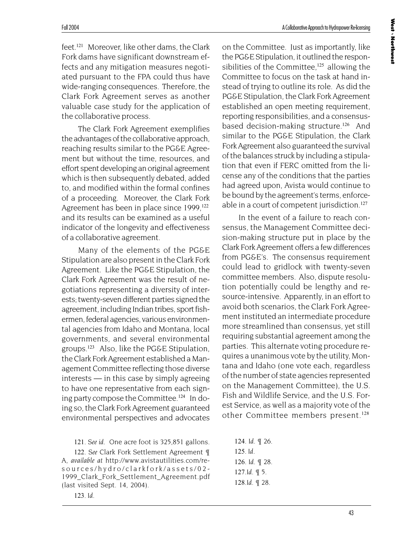feet.<sup>121</sup> Moreover, like other dams, the Clark Fork dams have significant downstream effects and any mitigation measures negotiated pursuant to the FPA could thus have wide-ranging consequences. Therefore, the Clark Fork Agreement serves as another valuable case study for the application of the collaborative process.

The Clark Fork Agreement exemplifies the advantages of the collaborative approach, reaching results similar to the PG&E Agreement but without the time, resources, and effort spent developing an original agreement which is then subsequently debated, added to, and modified within the formal confines of a proceeding. Moreover, the Clark Fork Agreement has been in place since 1999,<sup>122</sup> and its results can be examined as a useful indicator of the longevity and effectiveness of a collaborative agreement.

Many of the elements of the PG&E Stipulation are also present in the Clark Fork Agreement. Like the PG&E Stipulation, the Clark Fork Agreement was the result of negotiations representing a diversity of interests; twenty-seven different parties signed the agreement, including Indian tribes, sport fishermen, federal agencies, various environmental agencies from Idaho and Montana, local governments, and several environmental groups.<sup>123</sup> Also, like the PG&E Stipulation, the Clark Fork Agreement established a Management Committee reflecting those diverse interests — in this case by simply agreeing to have one representative from each signing party compose the Committee.<sup>124</sup> In doing so, the Clark Fork Agreement guaranteed environmental perspectives and advocates

121*. See id.* One acre foot is 325,851 gallons.

122*. See* Clark Fork Settlement Agreement ¶ A, *available at* http://www.avistautilities.com/resources/hydro/clarkfork/assets/02- 1999\_Clark\_Fork\_Settlement\_Agreement.pdf (last visited Sept. 14, 2004).

123*. Id*.

on the Committee. Just as importantly, like the PG&E Stipulation, it outlined the responsibilities of the Committee, $125$  allowing the Committee to focus on the task at hand instead of trying to outline its role. As did the PG&E Stipulation, the Clark Fork Agreement established an open meeting requirement, reporting responsibilities, and a consensusbased decision-making structure.<sup>126</sup> And similar to the PG&E Stipulation, the Clark Fork Agreement also guaranteed the survival of the balances struck by including a stipulation that even if FERC omitted from the license any of the conditions that the parties had agreed upon, Avista would continue to be bound by the agreement's terms, enforceable in a court of competent jurisdiction.<sup>127</sup>

In the event of a failure to reach consensus, the Management Committee decision-making structure put in place by the Clark Fork Agreement offers a few differences from PG&E's. The consensus requirement could lead to gridlock with twenty-seven committee members. Also, dispute resolution potentially could be lengthy and resource-intensive. Apparently, in an effort to avoid both scenarios, the Clark Fork Agreement instituted an intermediate procedure more streamlined than consensus, yet still requiring substantial agreement among the parties. This alternate voting procedure requires a unanimous vote by the utility, Montana and Idaho (one vote each, regardless of the number of state agencies represented on the Management Committee), the U.S. Fish and Wildlife Service, and the U.S. Forest Service, as well as a majority vote of the other Committee members present.<sup>128</sup>

124*. Id*. ¶ 26. 125*. Id.* 126*. Id*. ¶ 28. 127*.Id.* ¶ 5. 128*.Id*. ¶ 28.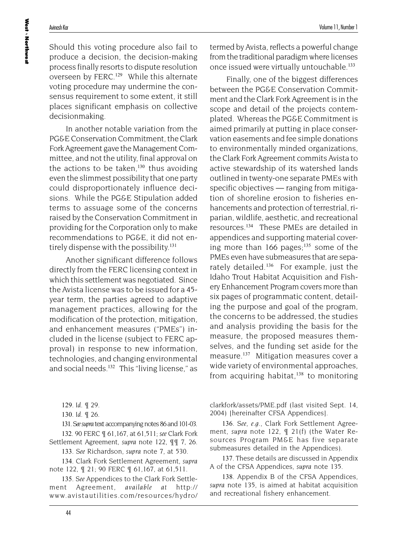**West Northwest**

Should this voting procedure also fail to produce a decision, the decision-making process finally resorts to dispute resolution overseen by FERC.<sup>129</sup> While this alternate voting procedure may undermine the consensus requirement to some extent, it still places significant emphasis on collective decisionmaking.

In another notable variation from the PG&E Conservation Commitment, the Clark Fork Agreement gave the Management Committee, and not the utility, final approval on the actions to be taken, $130$  thus avoiding even the slimmest possibility that one party could disproportionately influence decisions. While the PG&E Stipulation added terms to assuage some of the concerns raised by the Conservation Commitment in providing for the Corporation only to make recommendations to PG&E, it did not entirely dispense with the possibility.<sup>131</sup>

Another significant difference follows directly from the FERC licensing context in which this settlement was negotiated. Since the Avista license was to be issued for a 45 year term, the parties agreed to adaptive management practices, allowing for the modification of the protection, mitigation, and enhancement measures ("PMEs") included in the license (subject to FERC approval) in response to new information, technologies, and changing environmental and social needs.<sup>132</sup> This "living license," as

131*. Seesupra* text accompanying notes 86 and 101-03.

132. 90 FERC ¶ 61,167, at 61,511; *see* Clark Fork Settlement Agreement, *supra* note 122, ¶¶ 7, 26.

133*. See* Richardson, *supra* note 7, at 530.

134. Clark Fork Settlement Agreement, *supra* note 122, ¶ 21; 90 FERC ¶ 61,167, at 61,511.

135*. See* Appendices to the Clark Fork Settlement Agreement, *available at* http:// www.avistautilities.com/resources/hydro/ termed by Avista, reflects a powerful change from the traditional paradigm where licenses once issued were virtually untouchable.<sup>133</sup>

Finally, one of the biggest differences between the PG&E Conservation Commitment and the Clark Fork Agreement is in the scope and detail of the projects contemplated. Whereas the PG&E Commitment is aimed primarily at putting in place conservation easements and fee simple donations to environmentally minded organizations, the Clark Fork Agreement commits Avista to active stewardship of its watershed lands outlined in twenty-one separate PMEs with specific objectives — ranging from mitigation of shoreline erosion to fisheries enhancements and protection of terrestrial, riparian, wildlife, aesthetic, and recreational resources.<sup>134</sup> These PMEs are detailed in appendices and supporting material covering more than 166 pages; $135$  some of the PMEs even have submeasures that are separately detailed.<sup>136</sup> For example, just the Idaho Trout Habitat Acquisition and Fishery Enhancement Program covers more than six pages of programmatic content, detailing the purpose and goal of the program, the concerns to be addressed, the studies and analysis providing the basis for the measure, the proposed measures themselves, and the funding set aside for the measure.<sup>137</sup> Mitigation measures cover a wide variety of environmental approaches, from acquiring habitat, $138$  to monitoring

clarkfork/assets/PME.pdf (last visited Sept. 14, 2004) [hereinafter CFSA Appendices].

136*. See, e.g.,* Clark Fork Settlement Agreement, *supra* note 122, ¶ 21(f) (the Water Resources Program PM&E has five separate submeasures detailed in the Appendices).

137. These details are discussed in Appendix A of the CFSA Appendices, *supra* note 135.

138. Appendix B of the CFSA Appendices, *supra* note 135, is aimed at habitat acquisition and recreational fishery enhancement.

<sup>129</sup>*. Id*. ¶ 29.

<sup>130</sup>*. Id.* ¶ 26.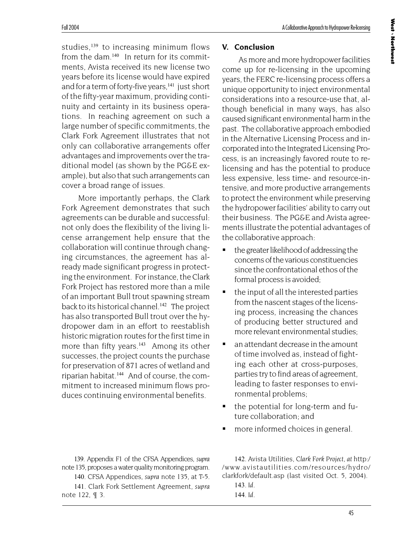West **Morthwest Northwest**

studies, $139$  to increasing minimum flows from the dam.<sup>140</sup> In return for its commitments, Avista received its new license two years before its license would have expired and for a term of forty-five years,<sup>141</sup> just short of the fifty-year maximum, providing continuity and certainty in its business operations. In reaching agreement on such a large number of specific commitments, the Clark Fork Agreement illustrates that not only can collaborative arrangements offer advantages and improvements over the traditional model (as shown by the PG&E example), but also that such arrangements can cover a broad range of issues.

More importantly perhaps, the Clark Fork Agreement demonstrates that such agreements can be durable and successful: not only does the flexibility of the living license arrangement help ensure that the collaboration will continue through changing circumstances, the agreement has already made significant progress in protecting the environment. For instance, the Clark Fork Project has restored more than a mile of an important Bull trout spawning stream back to its historical channel.<sup>142</sup> The project has also transported Bull trout over the hydropower dam in an effort to reestablish historic migration routes for the first time in more than fifty years.<sup>143</sup> Among its other successes, the project counts the purchase for preservation of 871 acres of wetland and riparian habitat.<sup>144</sup> And of course, the commitment to increased minimum flows produces continuing environmental benefits.

## **V. Conclusion**

As more and more hydropower facilities come up for re-licensing in the upcoming years, the FERC re-licensing process offers a unique opportunity to inject environmental considerations into a resource-use that, although beneficial in many ways, has also caused significant environmental harm in the past. The collaborative approach embodied in the Alternative Licensing Process and incorporated into the Integrated Licensing Process, is an increasingly favored route to relicensing and has the potential to produce less expensive, less time- and resource-intensive, and more productive arrangements to protect the environment while preserving the hydropower facilities' ability to carry out their business. The PG&E and Avista agreements illustrate the potential advantages of the collaborative approach:

- the greater likelihood of addressing the concerns of the various constituencies since the confrontational ethos of the formal process is avoided;
- the input of all the interested parties from the nascent stages of the licensing process, increasing the chances of producing better structured and more relevant environmental studies;
- an attendant decrease in the amount of time involved as, instead of fighting each other at cross-purposes, parties try to find areas of agreement, leading to faster responses to environmental problems;
- the potential for long-term and future collaboration; and
- more informed choices in general.

139. Appendix F1 of the CFSA Appendices, *supra* note 135, proposes a water quality monitoring program.

140. CFSA Appendices, *supra* note 135, at T-5.

141. Clark Fork Settlement Agreement, *supra* note 122, ¶ 3.

142. Avista Utilities, *Clark Fork Project*, *at* http:/ /www.avistautilities.com/resources/hydro/ clarkfork/default.asp (last visited Oct. 5, 2004).

143*. Id*.

144*. Id*.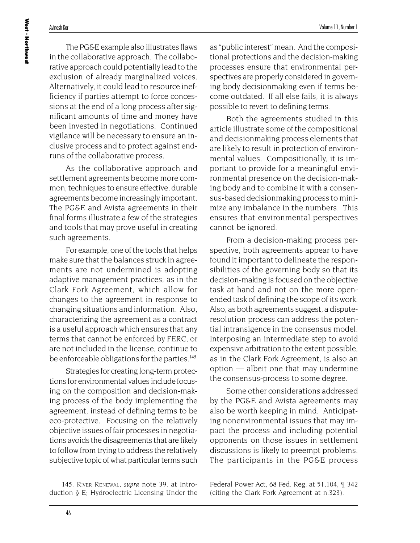The PG&E example also illustrates flaws in the collaborative approach. The collaborative approach could potentially lead to the exclusion of already marginalized voices. Alternatively, it could lead to resource inefficiency if parties attempt to force concessions at the end of a long process after significant amounts of time and money have been invested in negotiations. Continued vigilance will be necessary to ensure an inclusive process and to protect against endruns of the collaborative process.

As the collaborative approach and settlement agreements become more common, techniques to ensure effective, durable agreements become increasingly important. The PG&E and Avista agreements in their final forms illustrate a few of the strategies and tools that may prove useful in creating such agreements.

For example, one of the tools that helps make sure that the balances struck in agreements are not undermined is adopting adaptive management practices, as in the Clark Fork Agreement, which allow for changes to the agreement in response to changing situations and information. Also, characterizing the agreement as a contract is a useful approach which ensures that any terms that cannot be enforced by FERC, or are not included in the license, continue to be enforceable obligations for the parties.<sup>145</sup>

Strategies for creating long-term protections for environmental values include focusing on the composition and decision-making process of the body implementing the agreement, instead of defining terms to be eco-protective. Focusing on the relatively objective issues of fair processes in negotiations avoids the disagreements that are likely to follow from trying to address the relatively subjective topic of what particular terms such

145. RIVER RENEWAL, *supra* note 39, at Introduction § E; Hydroelectric Licensing Under the as "public interest" mean. And the compositional protections and the decision-making processes ensure that environmental perspectives are properly considered in governing body decisionmaking even if terms become outdated. If all else fails, it is always possible to revert to defining terms.

Both the agreements studied in this article illustrate some of the compositional and decisionmaking process elements that are likely to result in protection of environmental values. Compositionally, it is important to provide for a meaningful environmental presence on the decision-making body and to combine it with a consensus-based decisionmaking process to minimize any imbalance in the numbers. This ensures that environmental perspectives cannot be ignored.

From a decision-making process perspective, both agreements appear to have found it important to delineate the responsibilities of the governing body so that its decision-making is focused on the objective task at hand and not on the more openended task of defining the scope of its work. Also, as both agreements suggest, a disputeresolution process can address the potential intransigence in the consensus model. Interposing an intermediate step to avoid expensive arbitration to the extent possible, as in the Clark Fork Agreement, is also an option — albeit one that may undermine the consensus-process to some degree.

Some other considerations addressed by the PG&E and Avista agreements may also be worth keeping in mind. Anticipating nonenvironmental issues that may impact the process and including potential opponents on those issues in settlement discussions is likely to preempt problems. The participants in the PG&E process

Federal Power Act, 68 Fed. Reg. at 51,104, ¶ 342 (citing the Clark Fork Agreement at n.323).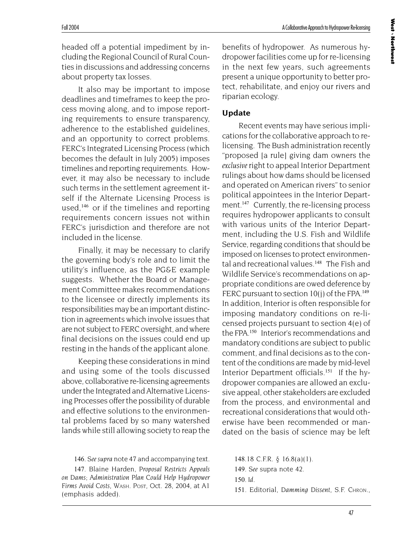headed off a potential impediment by including the Regional Council of Rural Counties in discussions and addressing concerns about property tax losses.

It also may be important to impose deadlines and timeframes to keep the process moving along, and to impose reporting requirements to ensure transparency, adherence to the established guidelines, and an opportunity to correct problems. FERC's Integrated Licensing Process (which becomes the default in July 2005) imposes timelines and reporting requirements. However, it may also be necessary to include such terms in the settlement agreement itself if the Alternate Licensing Process is used,<sup>146</sup> or if the timelines and reporting requirements concern issues not within FERC's jurisdiction and therefore are not included in the license.

Finally, it may be necessary to clarify the governing body's role and to limit the utility's influence, as the PG&E example suggests. Whether the Board or Management Committee makes recommendations to the licensee or directly implements its responsibilities may be an important distinction in agreements which involve issues that are not subject to FERC oversight, and where final decisions on the issues could end up resting in the hands of the applicant alone.

Keeping these considerations in mind and using some of the tools discussed above, collaborative re-licensing agreements under the Integrated and Alternative Licensing Processes offer the possibility of durable and effective solutions to the environmental problems faced by so many watershed lands while still allowing society to reap the

146*. See supra* note 47 and accompanying text.

147. Blaine Harden, *Proposal Restricts Appeals on Dams; Administration Plan Could Help Hydropower Firms Avoid Costs*, WASH. POST, Oct. 28, 2004, at A1 (emphasis added).

benefits of hydropower. As numerous hydropower facilities come up for re-licensing in the next few years, such agreements present a unique opportunity to better protect, rehabilitate, and enjoy our rivers and riparian ecology.

## **Update**

Recent events may have serious implications for the collaborative approach to relicensing. The Bush administration recently "proposed [a rule] giving dam owners the *exclusive* right to appeal Interior Department rulings about how dams should be licensed and operated on American rivers" to senior political appointees in the Interior Department.<sup>147</sup> Currently, the re-licensing process requires hydropower applicants to consult with various units of the Interior Department, including the U.S. Fish and Wildlife Service, regarding conditions that should be imposed on licenses to protect environmental and recreational values.<sup>148</sup> The Fish and Wildlife Service's recommendations on appropriate conditions are owed deference by FERC pursuant to section  $10(i)$  of the FPA.<sup>149</sup> In addition, Interior is often responsible for imposing mandatory conditions on re-licensed projects pursuant to section 4(e) of the FPA.<sup>150</sup> Interior's recommendations and mandatory conditions are subject to public comment, and final decisions as to the content of the conditions are made by mid-level Interior Department officials.<sup>151</sup> If the hydropower companies are allowed an exclusive appeal, other stakeholders are excluded from the process, and environmental and recreational considerations that would otherwise have been recommended or mandated on the basis of science may be left

.18 C.F.R. § 16.8(a)(1). *. See* supra note 42. 150*. Id.* . Editorial, *Damming Dissent*, S.F. CHRON.,